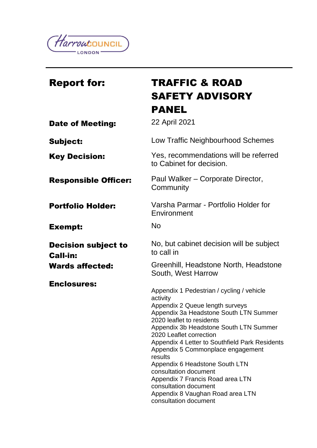

| <b>Report for:</b>                            | <b>TRAFFIC &amp; ROAD</b><br><b>SAFETY ADVISORY</b>                                                                                                                                                                                                                                                                                                                                                                                                                                                                         |
|-----------------------------------------------|-----------------------------------------------------------------------------------------------------------------------------------------------------------------------------------------------------------------------------------------------------------------------------------------------------------------------------------------------------------------------------------------------------------------------------------------------------------------------------------------------------------------------------|
|                                               | PANEL                                                                                                                                                                                                                                                                                                                                                                                                                                                                                                                       |
| <b>Date of Meeting:</b>                       | 22 April 2021                                                                                                                                                                                                                                                                                                                                                                                                                                                                                                               |
| <b>Subject:</b>                               | Low Traffic Neighbourhood Schemes                                                                                                                                                                                                                                                                                                                                                                                                                                                                                           |
| <b>Key Decision:</b>                          | Yes, recommendations will be referred<br>to Cabinet for decision.                                                                                                                                                                                                                                                                                                                                                                                                                                                           |
| <b>Responsible Officer:</b>                   | Paul Walker – Corporate Director,<br>Community                                                                                                                                                                                                                                                                                                                                                                                                                                                                              |
| <b>Portfolio Holder:</b>                      | Varsha Parmar - Portfolio Holder for<br>Environment                                                                                                                                                                                                                                                                                                                                                                                                                                                                         |
| <b>Exempt:</b>                                | <b>No</b>                                                                                                                                                                                                                                                                                                                                                                                                                                                                                                                   |
| <b>Decision subject to</b><br><b>Call-in:</b> | No, but cabinet decision will be subject<br>to call in                                                                                                                                                                                                                                                                                                                                                                                                                                                                      |
| <b>Wards affected:</b>                        | Greenhill, Headstone North, Headstone<br>South, West Harrow                                                                                                                                                                                                                                                                                                                                                                                                                                                                 |
| <b>Enclosures:</b>                            | Appendix 1 Pedestrian / cycling / vehicle<br>activity<br>Appendix 2 Queue length surveys<br>Appendix 3a Headstone South LTN Summer<br>2020 leaflet to residents<br>Appendix 3b Headstone South LTN Summer<br>2020 Leaflet correction<br>Appendix 4 Letter to Southfield Park Residents<br>Appendix 5 Commonplace engagement<br>results<br>Appendix 6 Headstone South LTN<br>consultation document<br>Appendix 7 Francis Road area LTN<br>consultation document<br>Appendix 8 Vaughan Road area LTN<br>consultation document |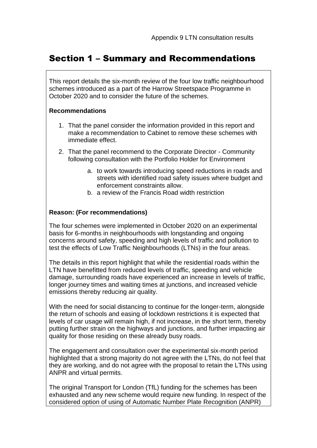## Section 1 – Summary and Recommendations

This report details the six-month review of the four low traffic neighbourhood schemes introduced as a part of the Harrow Streetspace Programme in October 2020 and to consider the future of the schemes.

#### **Recommendations**

- 1. That the panel consider the information provided in this report and make a recommendation to Cabinet to remove these schemes with immediate effect.
- 2. That the panel recommend to the Corporate Director Community following consultation with the Portfolio Holder for Environment
	- a. to work towards introducing speed reductions in roads and streets with identified road safety issues where budget and enforcement constraints allow.
	- b. a review of the Francis Road width restriction

#### **Reason: (For recommendations)**

The four schemes were implemented in October 2020 on an experimental basis for 6-months in neighbourhoods with longstanding and ongoing concerns around safety, speeding and high levels of traffic and pollution to test the effects of Low Traffic Neighbourhoods (LTNs) in the four areas.

The details in this report highlight that while the residential roads within the LTN have benefitted from reduced levels of traffic, speeding and vehicle damage, surrounding roads have experienced an increase in levels of traffic, longer journey times and waiting times at junctions, and increased vehicle emissions thereby reducing air quality.

With the need for social distancing to continue for the longer-term, alongside the return of schools and easing of lockdown restrictions it is expected that levels of car usage will remain high, if not increase, in the short term, thereby putting further strain on the highways and junctions, and further impacting air quality for those residing on these already busy roads.

The engagement and consultation over the experimental six-month period highlighted that a strong majority do not agree with the LTNs, do not feel that they are working, and do not agree with the proposal to retain the LTNs using ANPR and virtual permits.

The original Transport for London (TfL) funding for the schemes has been exhausted and any new scheme would require new funding. In respect of the considered option of using of Automatic Number Plate Recognition (ANPR)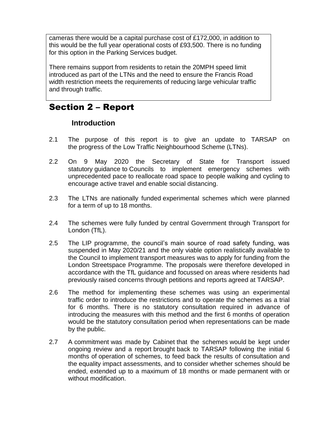cameras there would be a capital purchase cost of £172,000, in addition to this would be the full year operational costs of £93,500. There is no funding for this option in the Parking Services budget.

There remains support from residents to retain the 20MPH speed limit introduced as part of the LTNs and the need to ensure the Francis Road width restriction meets the requirements of reducing large vehicular traffic and through traffic.

# Section 2 – Report

### **Introduction**

- 2.1 The purpose of this report is to give an update to TARSAP on the progress of the Low Traffic Neighbourhood Scheme (LTNs).
- 2.2 On 9 May 2020 the Secretary of State for Transport issued statutory guidance to Councils to implement emergency schemes with unprecedented pace to reallocate road space to people walking and cycling to encourage active travel and enable social distancing.
- 2.3 The LTNs are nationally funded experimental schemes which were planned for a term of up to 18 months.
- 2.4 The schemes were fully funded by central Government through Transport for London (TfL).
- 2.5 The LIP programme, the council's main source of road safety funding, was suspended in May 2020/21 and the only viable option realistically available to the Council to implement transport measures was to apply for funding from the London Streetspace Programme. The proposals were therefore developed in accordance with the TfL guidance and focussed on areas where residents had previously raised concerns through petitions and reports agreed at TARSAP.
- 2.6 The method for implementing these schemes was using an experimental traffic order to introduce the restrictions and to operate the schemes as a trial for 6 months. There is no statutory consultation required in advance of introducing the measures with this method and the first 6 months of operation would be the statutory consultation period when representations can be made by the public.
- 2.7 A commitment was made by Cabinet that the schemes would be kept under ongoing review and a report brought back to TARSAP following the initial 6 months of operation of schemes, to feed back the results of consultation and the equality impact assessments, and to consider whether schemes should be ended, extended up to a maximum of 18 months or made permanent with or without modification.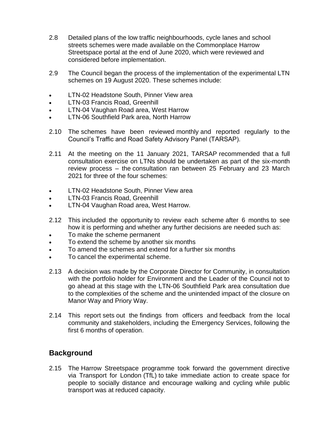- 2.8 Detailed plans of the low traffic neighbourhoods, cycle lanes and school streets schemes were made available on the Commonplace Harrow Streetspace portal at the end of June 2020, which were reviewed and considered before implementation.
- 2.9 The Council began the process of the implementation of the experimental LTN schemes on 19 August 2020. These schemes include:
- LTN-02 Headstone South, Pinner View area
- LTN-03 Francis Road, Greenhill
- LTN-04 Vaughan Road area, West Harrow
- LTN-06 Southfield Park area, North Harrow
- 2.10 The schemes have been reviewed monthly and reported regularly to the Council's Traffic and Road Safety Advisory Panel (TARSAP).
- 2.11 At the meeting on the 11 January 2021, TARSAP recommended that a full consultation exercise on LTNs should be undertaken as part of the six-month review process – the consultation ran between 25 February and 23 March 2021 for three of the four schemes:
- LTN-02 Headstone South, Pinner View area
- LTN-03 Francis Road, Greenhill
- LTN-04 Vaughan Road area, West Harrow.
- 2.12 This included the opportunity to review each scheme after 6 months to see how it is performing and whether any further decisions are needed such as:
- To make the scheme permanent
- To extend the scheme by another six months
- To amend the schemes and extend for a further six months
- To cancel the experimental scheme.
- 2.13 A decision was made by the Corporate Director for Community, in consultation with the portfolio holder for Environment and the Leader of the Council not to go ahead at this stage with the LTN-06 Southfield Park area consultation due to the complexities of the scheme and the unintended impact of the closure on Manor Way and Priory Way.
- 2.14 This report sets out the findings from officers and feedback from the local community and stakeholders, including the Emergency Services, following the first 6 months of operation.

## **Background**

2.15 The Harrow Streetspace programme took forward the government directive via Transport for London (TfL) to take immediate action to create space for people to socially distance and encourage walking and cycling while public transport was at reduced capacity.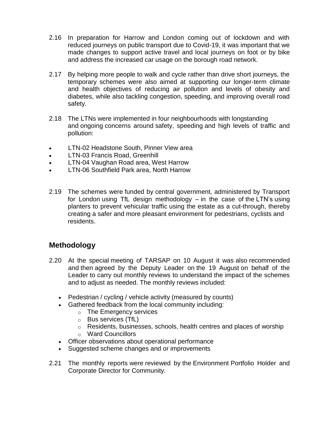- 2.16 In preparation for Harrow and London coming out of lockdown and with reduced journeys on public transport due to Covid-19, it was important that we made changes to support active travel and local journeys on foot or by bike and address the increased car usage on the borough road network.
- 2.17 By helping more people to walk and cycle rather than drive short journeys, the temporary schemes were also aimed at supporting our longer-term climate and health objectives of reducing air pollution and levels of obesity and diabetes, while also tackling congestion, speeding, and improving overall road safety.
- 2.18 The LTNs were implemented in four neighbourhoods with longstanding and ongoing concerns around safety, speeding and high levels of traffic and pollution:
- LTN-02 Headstone South, Pinner View area
- LTN-03 Francis Road, Greenhill
- LTN-04 Vaughan Road area, West Harrow
- LTN-06 Southfield Park area, North Harrow
- 2.19 The schemes were funded by central government, administered by Transport for London using TfL design methodology – in the case of the LTN's using planters to prevent vehicular traffic using the estate as a cut-through, thereby creating a safer and more pleasant environment for pedestrians, cyclists and residents.

## **Methodology**

- 2.20 At the special meeting of TARSAP on 10 August it was also recommended and then agreed by the Deputy Leader on the 19 August on behalf of the Leader to carry out monthly reviews to understand the impact of the schemes and to adjust as needed. The monthly reviews included:
	- Pedestrian / cycling / vehicle activity (measured by counts)
	- Gathered feedback from the local community including:
		- o The Emergency services
		- o Bus services (TfL)
		- $\circ$  Residents, businesses, schools, health centres and places of worship
		- o Ward Councillors
	- Officer observations about operational performance
	- Suggested scheme changes and or improvements
- 2.21 The monthly reports were reviewed by the Environment Portfolio Holder and Corporate Director for Community.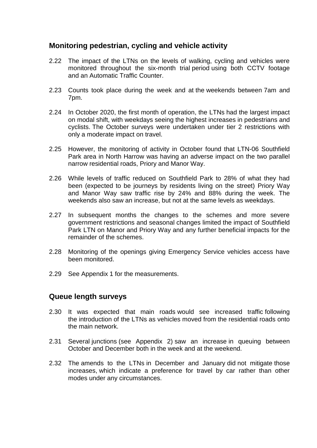### **Monitoring pedestrian, cycling and vehicle activity**

- 2.22 The impact of the LTNs on the levels of walking, cycling and vehicles were monitored throughout the six-month trial period using both CCTV footage and an Automatic Traffic Counter.
- 2.23 Counts took place during the week and at the weekends between 7am and 7pm.
- 2.24 In October 2020, the first month of operation, the LTNs had the largest impact on modal shift, with weekdays seeing the highest increases in pedestrians and cyclists. The October surveys were undertaken under tier 2 restrictions with only a moderate impact on travel.
- 2.25 However, the monitoring of activity in October found that LTN-06 Southfield Park area in North Harrow was having an adverse impact on the two parallel narrow residential roads, Priory and Manor Way.
- 2.26 While levels of traffic reduced on Southfield Park to 28% of what they had been (expected to be journeys by residents living on the street) Priory Way and Manor Way saw traffic rise by 24% and 88% during the week. The weekends also saw an increase, but not at the same levels as weekdays.
- 2.27 In subsequent months the changes to the schemes and more severe government restrictions and seasonal changes limited the impact of Southfield Park LTN on Manor and Priory Way and any further beneficial impacts for the remainder of the schemes.
- 2.28 Monitoring of the openings giving Emergency Service vehicles access have been monitored.
- 2.29 See Appendix 1 for the measurements.

### **Queue length surveys**

- 2.30 It was expected that main roads would see increased traffic following the introduction of the LTNs as vehicles moved from the residential roads onto the main network.
- 2.31 Several junctions (see Appendix 2) saw an increase in queuing between October and December both in the week and at the weekend.
- 2.32 The amends to the LTNs in December and January did not mitigate those increases, which indicate a preference for travel by car rather than other modes under any circumstances.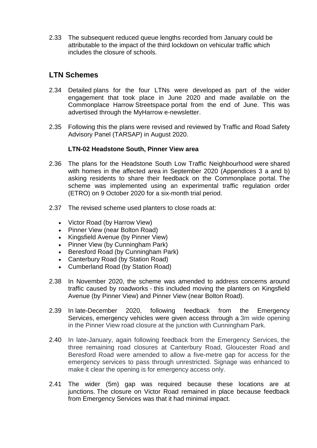2.33 The subsequent reduced queue lengths recorded from January could be attributable to the impact of the third lockdown on vehicular traffic which includes the closure of schools.

### **LTN Schemes**

- 2.34 Detailed plans for the four LTNs were developed as part of the wider engagement that took place in June 2020 and made available on the Commonplace Harrow Streetspace portal from the end of June. This was advertised through the MyHarrow e-newsletter.
- 2.35 Following this the plans were revised and reviewed by Traffic and Road Safety Advisory Panel (TARSAP) in August 2020.

#### **LTN-02 Headstone South, Pinner View area**

- 2.36 The plans for the Headstone South Low Traffic Neighbourhood were shared with homes in the affected area in September 2020 (Appendices 3 a and b) asking residents to share their feedback on the Commonplace portal. The scheme was implemented using an experimental traffic regulation order (ETRO) on 9 October 2020 for a six-month trial period.
- 2.37 The revised scheme used planters to close roads at:
	- Victor Road (by Harrow View)
	- Pinner View (near Bolton Road)
	- Kingsfield Avenue (by Pinner View)
	- Pinner View (by Cunningham Park)
	- Beresford Road (by Cunningham Park)
	- Canterbury Road (by Station Road)
	- Cumberland Road (by Station Road)
- 2.38 In November 2020, the scheme was amended to address concerns around traffic caused by roadworks - this included moving the planters on Kingsfield Avenue (by Pinner View) and Pinner View (near Bolton Road).
- 2.39 In late-December 2020, following feedback from the Emergency Services, emergency vehicles were given access through a 3m wide opening in the Pinner View road closure at the junction with Cunningham Park.
- 2.40 In late-January, again following feedback from the Emergency Services, the three remaining road closures at Canterbury Road, Gloucester Road and Beresford Road were amended to allow a five-metre gap for access for the emergency services to pass through unrestricted. Signage was enhanced to make it clear the opening is for emergency access only.
- 2.41 The wider (5m) gap was required because these locations are at junctions. The closure on Victor Road remained in place because feedback from Emergency Services was that it had minimal impact.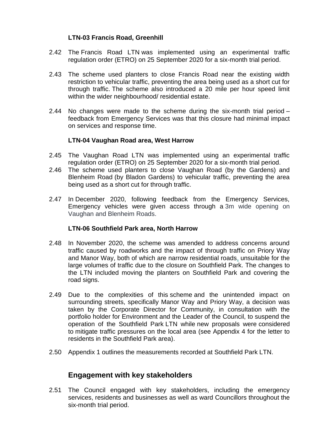#### **LTN-03 Francis Road, Greenhill**

- 2.42 The Francis Road LTN was implemented using an experimental traffic regulation order (ETRO) on 25 September 2020 for a six-month trial period.
- 2.43 The scheme used planters to close Francis Road near the existing width restriction to vehicular traffic, preventing the area being used as a short cut for through traffic. The scheme also introduced a 20 mile per hour speed limit within the wider neighbourhood/ residential estate.
- 2.44 No changes were made to the scheme during the six-month trial period feedback from Emergency Services was that this closure had minimal impact on services and response time.

#### **LTN-04 Vaughan Road area, West Harrow**

- 2.45 The Vaughan Road LTN was implemented using an experimental traffic regulation order (ETRO) on 25 September 2020 for a six-month trial period.
- 2.46 The scheme used planters to close Vaughan Road (by the Gardens) and Blenheim Road (by Bladon Gardens) to vehicular traffic, preventing the area being used as a short cut for through traffic.
- 2.47 In December 2020, following feedback from the Emergency Services, Emergency vehicles were given access through a 3m wide opening on Vaughan and Blenheim Roads.

#### **LTN-06 Southfield Park area, North Harrow**

- 2.48 In November 2020, the scheme was amended to address concerns around traffic caused by roadworks and the impact of through traffic on Priory Way and Manor Way, both of which are narrow residential roads, unsuitable for the large volumes of traffic due to the closure on Southfield Park. The changes to the LTN included moving the planters on Southfield Park and covering the road signs.
- 2.49 Due to the complexities of this scheme and the unintended impact on surrounding streets, specifically Manor Way and Priory Way, a decision was taken by the Corporate Director for Community, in consultation with the portfolio holder for Environment and the Leader of the Council, to suspend the operation of the Southfield Park LTN while new proposals were considered to mitigate traffic pressures on the local area (see Appendix 4 for the letter to residents in the Southfield Park area).
- 2.50 Appendix 1 outlines the measurements recorded at Southfield Park LTN.

### **Engagement with key stakeholders**

2.51 The Council engaged with key stakeholders, including the emergency services, residents and businesses as well as ward Councillors throughout the six-month trial period.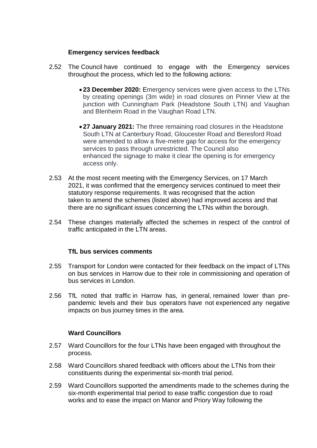#### **Emergency services feedback**

- 2.52 The Council have continued to engage with the Emergency services throughout the process, which led to the following actions:
	- **23 December 2020:** Emergency services were given access to the LTNs by creating openings (3m wide) in road closures on Pinner View at the junction with Cunningham Park (Headstone South LTN) and Vaughan and Blenheim Road in the Vaughan Road LTN.
	- **27 January 2021:** The three remaining road closures in the Headstone South LTN at Canterbury Road, Gloucester Road and Beresford Road were amended to allow a five-metre gap for access for the emergency services to pass through unrestricted. The Council also enhanced the signage to make it clear the opening is for emergency access only.
- 2.53 At the most recent meeting with the Emergency Services, on 17 March 2021, it was confirmed that the emergency services continued to meet their statutory response requirements. It was recognised that the action taken to amend the schemes (listed above) had improved access and that there are no significant issues concerning the LTNs within the borough.
- 2.54 These changes materially affected the schemes in respect of the control of traffic anticipated in the LTN areas.

#### **TfL bus services comments**

- 2.55 Transport for London were contacted for their feedback on the impact of LTNs on bus services in Harrow due to their role in commissioning and operation of bus services in London.
- 2.56 TfL noted that traffic in Harrow has, in general, remained lower than prepandemic levels and their bus operators have not experienced any negative impacts on bus journey times in the area.

#### **Ward Councillors**

- 2.57 Ward Councillors for the four LTNs have been engaged with throughout the process.
- 2.58 Ward Councillors shared feedback with officers about the LTNs from their constituents during the experimental six-month trial period.
- 2.59 Ward Councillors supported the amendments made to the schemes during the six-month experimental trial period to ease traffic congestion due to road works and to ease the impact on Manor and Priory Way following the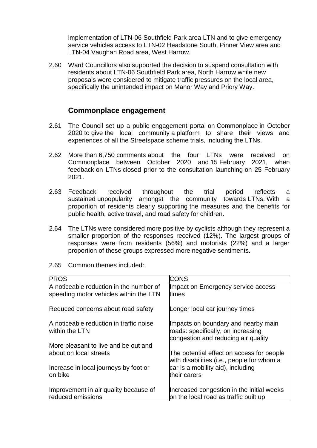implementation of LTN-06 Southfield Park area LTN and to give emergency service vehicles access to LTN-02 Headstone South, Pinner View area and LTN-04 Vaughan Road area, West Harrow.

2.60 Ward Councillors also supported the decision to suspend consultation with residents about LTN-06 Southfield Park area, North Harrow while new proposals were considered to mitigate traffic pressures on the local area, specifically the unintended impact on Manor Way and Priory Way.

#### **Commonplace engagement**

- 2.61 The Council set up a public engagement portal on Commonplace in October 2020 to give the local community a platform to share their views and experiences of all the Streetspace scheme trials, including the LTNs.
- 2.62 More than 6,750 comments about the four LTNs were received on Commonplace between October 2020 and 15 February 2021, when feedback on LTNs closed prior to the consultation launching on 25 February 2021.
- 2.63 Feedback received throughout the trial period reflects a sustained unpopularity amongst the community towards LTNs. With a proportion of residents clearly supporting the measures and the benefits for public health, active travel, and road safety for children.
- 2.64 The LTNs were considered more positive by cyclists although they represent a smaller proportion of the responses received (12%). The largest groups of responses were from residents (56%) and motorists (22%) and a larger proportion of these groups expressed more negative sentiments.
- 2.65 Common themes included:

| <b>PROS</b>                             | <b>CONS</b>                                                                             |
|-----------------------------------------|-----------------------------------------------------------------------------------------|
| A noticeable reduction in the number of | Impact on Emergency service access                                                      |
| speeding motor vehicles within the LTN  | times                                                                                   |
| Reduced concerns about road safety      | Longer local car journey times                                                          |
| A noticeable reduction in traffic noise | Impacts on boundary and nearby main                                                     |
| within the LTN                          | roads: specifically, on increasing                                                      |
|                                         | congestion and reducing air quality                                                     |
| More pleasant to live and be out and    |                                                                                         |
| about on local streets                  | The potential effect on access for people<br>with disabilities (i.e., people for whom a |
| Increase in local journeys by foot or   | car is a mobility aid), including                                                       |
| on bike                                 | their carers                                                                            |
| Improvement in air quality because of   | Increased congestion in the initial weeks                                               |
| reduced emissions                       | on the local road as traffic built up                                                   |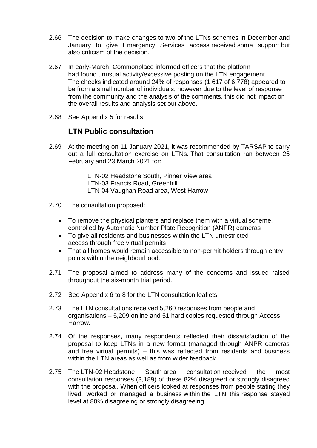- 2.66 The decision to make changes to two of the LTNs schemes in December and January to give Emergency Services access received some support but also criticism of the decision.
- 2.67 In early-March, Commonplace informed officers that the platform had found unusual activity/excessive posting on the LTN engagement. The checks indicated around 24% of responses (1,617 of 6,778) appeared to be from a small number of individuals, however due to the level of response from the community and the analysis of the comments, this did not impact on the overall results and analysis set out above.
- 2.68 See Appendix 5 for results

### **LTN Public consultation**

2.69 At the meeting on 11 January 2021, it was recommended by TARSAP to carry out a full consultation exercise on LTNs. That consultation ran between 25 February and 23 March 2021 for:

> LTN-02 Headstone South, Pinner View area LTN-03 Francis Road, Greenhill LTN-04 Vaughan Road area, West Harrow

- 2.70 The consultation proposed:
	- To remove the physical planters and replace them with a virtual scheme, controlled by Automatic Number Plate Recognition (ANPR) cameras
	- To give all residents and businesses within the LTN unrestricted access through free virtual permits
	- That all homes would remain accessible to non-permit holders through entry points within the neighbourhood.
- 2.71 The proposal aimed to address many of the concerns and issued raised throughout the six-month trial period.
- 2.72 See Appendix 6 to 8 for the LTN consultation leaflets.
- 2.73 The LTN consultations received 5,260 responses from people and organisations – 5,209 online and 51 hard copies requested through Access Harrow.
- 2.74 Of the responses, many respondents reflected their dissatisfaction of the proposal to keep LTNs in a new format (managed through ANPR cameras and free virtual permits) – this was reflected from residents and business within the LTN areas as well as from wider feedback.
- 2.75 The LTN-02 Headstone South area consultation received the most consultation responses (3,189) of these 82% disagreed or strongly disagreed with the proposal. When officers looked at responses from people stating they lived, worked or managed a business within the LTN this response stayed level at 80% disagreeing or strongly disagreeing.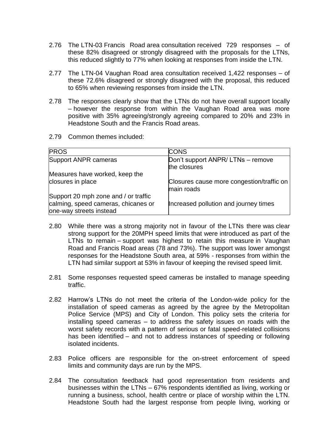- 2.76 The LTN-03 Francis Road area consultation received 729 responses of these 82% disagreed or strongly disagreed with the proposals for the LTNs, this reduced slightly to 77% when looking at responses from inside the LTN.
- 2.77 The LTN-04 Vaughan Road area consultation received 1,422 responses of these 72.6% disagreed or strongly disagreed with the proposal, this reduced to 65% when reviewing responses from inside the LTN.
- 2.78 The responses clearly show that the LTNs do not have overall support locally – however the response from within the Vaughan Road area was more positive with 35% agreeing/strongly agreeing compared to 20% and 23% in Headstone South and the Francis Road areas.
- 2.79 Common themes included:

| <b>PROS</b>                                                    | <b>CONS</b>                                             |
|----------------------------------------------------------------|---------------------------------------------------------|
| Support ANPR cameras                                           | Don't support ANPR/ LTNs - remove<br>the closures       |
| Measures have worked, keep the                                 |                                                         |
| closures in place                                              | Closures cause more congestion/traffic on<br>main roads |
| Support 20 mph zone and / or traffic                           |                                                         |
| calming, speed cameras, chicanes or<br>one-way streets instead | Increased pollution and journey times                   |

- 2.80 While there was a strong majority not in favour of the LTNs there was clear strong support for the 20MPH speed limits that were introduced as part of the LTNs to remain – support was highest to retain this measure in Vaughan Road and Francis Road areas (78 and 73%). The support was lower amongst responses for the Headstone South area, at 59% - responses from within the LTN had similar support at 53% in favour of keeping the revised speed limit.
- 2.81 Some responses requested speed cameras be installed to manage speeding traffic.
- 2.82 Harrow's LTNs do not meet the criteria of the London-wide policy for the installation of speed cameras as agreed by the agree by the Metropolitan Police Service (MPS) and City of London. This policy sets the criteria for installing speed cameras – to address the safety issues on roads with the worst safety records with a pattern of serious or fatal speed-related collisions has been identified – and not to address instances of speeding or following isolated incidents.
- 2.83 Police officers are responsible for the on-street enforcement of speed limits and community days are run by the MPS.
- 2.84 The consultation feedback had good representation from residents and businesses within the LTNs – 67% respondents identified as living, working or running a business, school, health centre or place of worship within the LTN. Headstone South had the largest response from people living, working or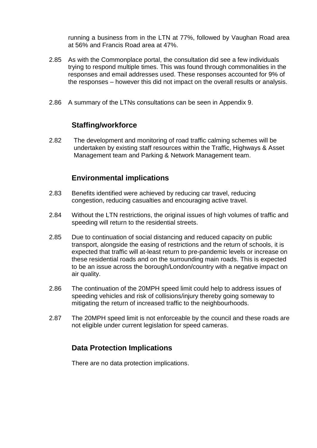running a business from in the LTN at 77%, followed by Vaughan Road area at 56% and Francis Road area at 47%.

- 2.85 As with the Commonplace portal, the consultation did see a few individuals trying to respond multiple times. This was found through commonalities in the responses and email addresses used. These responses accounted for 9% of the responses – however this did not impact on the overall results or analysis.
- 2.86 A summary of the LTNs consultations can be seen in Appendix 9.

### **Staffing/workforce**

2.82 The development and monitoring of road traffic calming schemes will be undertaken by existing staff resources within the Traffic, Highways & Asset Management team and Parking & Network Management team.

### **Environmental implications**

- 2.83 Benefits identified were achieved by reducing car travel, reducing congestion, reducing casualties and encouraging active travel.
- 2.84 Without the LTN restrictions, the original issues of high volumes of traffic and speeding will return to the residential streets.
- 2.85 Due to continuation of social distancing and reduced capacity on public transport, alongside the easing of restrictions and the return of schools, it is expected that traffic will at-least return to pre-pandemic levels or increase on these residential roads and on the surrounding main roads. This is expected to be an issue across the borough/London/country with a negative impact on air quality.
- 2.86 The continuation of the 20MPH speed limit could help to address issues of speeding vehicles and risk of collisions/injury thereby going someway to mitigating the return of increased traffic to the neighbourhoods.
- 2.87 The 20MPH speed limit is not enforceable by the council and these roads are not eligible under current legislation for speed cameras.

### **Data Protection Implications**

There are no data protection implications.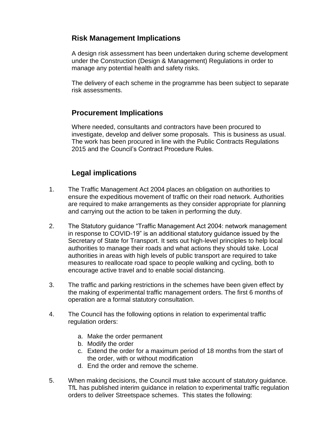## **Risk Management Implications**

A design risk assessment has been undertaken during scheme development under the Construction (Design & Management) Regulations in order to manage any potential health and safety risks.

The delivery of each scheme in the programme has been subject to separate risk assessments.

## **Procurement Implications**

Where needed, consultants and contractors have been procured to investigate, develop and deliver some proposals. This is business as usual. The work has been procured in line with the Public Contracts Regulations 2015 and the Council's Contract Procedure Rules.

## **Legal implications**

- 1. The Traffic Management Act 2004 places an obligation on authorities to ensure the expeditious movement of traffic on their road network. Authorities are required to make arrangements as they consider appropriate for planning and carrying out the action to be taken in performing the duty.
- 2. The Statutory guidance "Traffic Management Act 2004: network management in response to COVID-19" is an additional statutory guidance issued by the Secretary of State for Transport. It sets out high-level principles to help local authorities to manage their roads and what actions they should take. Local authorities in areas with high levels of public transport are required to take measures to reallocate road space to people walking and cycling, both to encourage active travel and to enable social distancing.
- 3. The traffic and parking restrictions in the schemes have been given effect by the making of experimental traffic management orders. The first 6 months of operation are a formal statutory consultation.
- 4. The Council has the following options in relation to experimental traffic regulation orders:
	- a. Make the order permanent
	- b. Modify the order
	- c. Extend the order for a maximum period of 18 months from the start of the order, with or without modification
	- d. End the order and remove the scheme.
- 5. When making decisions, the Council must take account of statutory guidance. TfL has published interim guidance in relation to experimental traffic regulation orders to deliver Streetspace schemes. This states the following: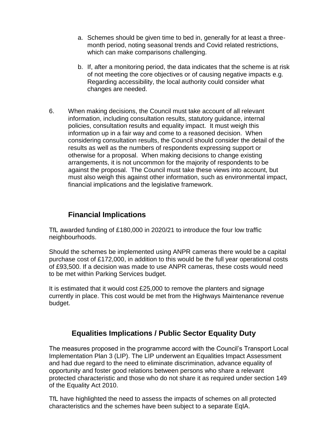- a. Schemes should be given time to bed in, generally for at least a threemonth period, noting seasonal trends and Covid related restrictions, which can make comparisons challenging.
- b. If, after a monitoring period, the data indicates that the scheme is at risk of not meeting the core objectives or of causing negative impacts e.g. Regarding accessibility, the local authority could consider what changes are needed.
- 6. When making decisions, the Council must take account of all relevant information, including consultation results, statutory guidance, internal policies, consultation results and equality impact. It must weigh this information up in a fair way and come to a reasoned decision. When considering consultation results, the Council should consider the detail of the results as well as the numbers of respondents expressing support or otherwise for a proposal. When making decisions to change existing arrangements, it is not uncommon for the majority of respondents to be against the proposal. The Council must take these views into account, but must also weigh this against other information, such as environmental impact, financial implications and the legislative framework.

## **Financial Implications**

TfL awarded funding of £180,000 in 2020/21 to introduce the four low traffic neighbourhoods.

Should the schemes be implemented using ANPR cameras there would be a capital purchase cost of £172,000, in addition to this would be the full year operational costs of £93,500. If a decision was made to use ANPR cameras, these costs would need to be met within Parking Services budget.

It is estimated that it would cost £25,000 to remove the planters and signage currently in place. This cost would be met from the Highways Maintenance revenue budget.

## **Equalities Implications / Public Sector Equality Duty**

The measures proposed in the programme accord with the Council's Transport Local Implementation Plan 3 (LIP). The LIP underwent an Equalities Impact Assessment and had due regard to the need to eliminate discrimination, advance equality of opportunity and foster good relations between persons who share a relevant protected characteristic and those who do not share it as required under section 149 of the Equality Act 2010.

TfL have highlighted the need to assess the impacts of schemes on all protected characteristics and the schemes have been subject to a separate EqIA.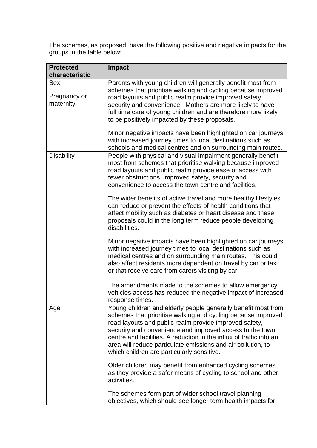The schemes, as proposed, have the following positive and negative impacts for the groups in the table below:

| <b>Protected</b><br>characteristic      | <b>Impact</b>                                                                                                                                                                                                                                                                                                                                                                                                                            |
|-----------------------------------------|------------------------------------------------------------------------------------------------------------------------------------------------------------------------------------------------------------------------------------------------------------------------------------------------------------------------------------------------------------------------------------------------------------------------------------------|
| <b>Sex</b><br>Pregnancy or<br>maternity | Parents with young children will generally benefit most from<br>schemes that prioritise walking and cycling because improved<br>road layouts and public realm provide improved safety,<br>security and convenience. Mothers are more likely to have<br>full time care of young children and are therefore more likely<br>to be positively impacted by these proposals.                                                                   |
|                                         | Minor negative impacts have been highlighted on car journeys<br>with increased journey times to local destinations such as<br>schools and medical centres and on surrounding main routes.                                                                                                                                                                                                                                                |
| <b>Disability</b>                       | People with physical and visual impairment generally benefit<br>most from schemes that prioritise walking because improved<br>road layouts and public realm provide ease of access with<br>fewer obstructions, improved safety, security and<br>convenience to access the town centre and facilities.                                                                                                                                    |
|                                         | The wider benefits of active travel and more healthy lifestyles<br>can reduce or prevent the effects of health conditions that<br>affect mobility such as diabetes or heart disease and these<br>proposals could in the long term reduce people developing<br>disabilities.                                                                                                                                                              |
|                                         | Minor negative impacts have been highlighted on car journeys<br>with increased journey times to local destinations such as<br>medical centres and on surrounding main routes. This could<br>also affect residents more dependent on travel by car or taxi<br>or that receive care from carers visiting by car.                                                                                                                           |
|                                         | The amendments made to the schemes to allow emergency<br>vehicles access has reduced the negative impact of increased<br>response times.                                                                                                                                                                                                                                                                                                 |
| Age                                     | Young children and elderly people generally benefit most from<br>schemes that prioritise walking and cycling because improved<br>road layouts and public realm provide improved safety,<br>security and convenience and improved access to the town<br>centre and facilities. A reduction in the influx of traffic into an<br>area will reduce particulate emissions and air pollution, to<br>which children are particularly sensitive. |
|                                         | Older children may benefit from enhanced cycling schemes<br>as they provide a safer means of cycling to school and other<br>activities.                                                                                                                                                                                                                                                                                                  |
|                                         | The schemes form part of wider school travel planning<br>objectives, which should see longer term health impacts for                                                                                                                                                                                                                                                                                                                     |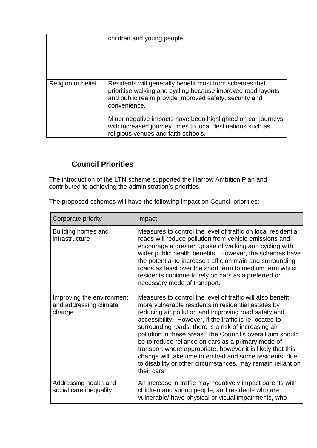|                    | children and young people.                                                                                                                                                                        |
|--------------------|---------------------------------------------------------------------------------------------------------------------------------------------------------------------------------------------------|
| Religion or belief | Residents will generally benefit most from schemes that<br>prioritise walking and cycling because improved road layouts<br>and public realm provide improved safety, security and<br>convenience. |
|                    | Minor negative impacts have been highlighted on car journeys<br>with increased journey times to local destinations such as<br>religious venues and faith schools.                                 |

## **Council Priorities**

The introduction of the LTN scheme supported the Harrow Ambition Plan and contributed to achieving the administration's priorities.

The proposed schemes will have the following impact on Council priorities:

| Corporate priority                                            | Impact                                                                                                                                                                                                                                                                                                                                                                                                                                                                                                                                                                                                                  |
|---------------------------------------------------------------|-------------------------------------------------------------------------------------------------------------------------------------------------------------------------------------------------------------------------------------------------------------------------------------------------------------------------------------------------------------------------------------------------------------------------------------------------------------------------------------------------------------------------------------------------------------------------------------------------------------------------|
| Building homes and<br>infrastructure                          | Measures to control the level of traffic on local residential<br>roads will reduce pollution from vehicle emissions and<br>encourage a greater uptake of walking and cycling with<br>wider public health benefits. However, the schemes have<br>the potential to increase traffic on main and surrounding<br>roads as least over the short term to medium term whilst<br>residents continue to rely on cars as a preferred or<br>necessary mode of transport.                                                                                                                                                           |
| Improving the environment<br>and addressing climate<br>change | Measures to control the level of traffic will also benefit<br>more vulnerable residents in residential estates by<br>reducing air pollution and improving road safety and<br>accessibility. However, if the traffic is re-located to<br>surrounding roads, there is a risk of increasing air<br>pollution in these areas. The Council's overall aim should<br>be to reduce reliance on cars as a primary mode of<br>transport where appropriate, however it is likely that this<br>change will take time to embed and some residents, due<br>to disability or other circumstances, may remain reliant on<br>their cars. |
| Addressing health and<br>social care inequality               | An increase in traffic may negatively impact parents with<br>children and young people, and residents who are<br>vulnerable/ have physical or visual impairments, who                                                                                                                                                                                                                                                                                                                                                                                                                                                   |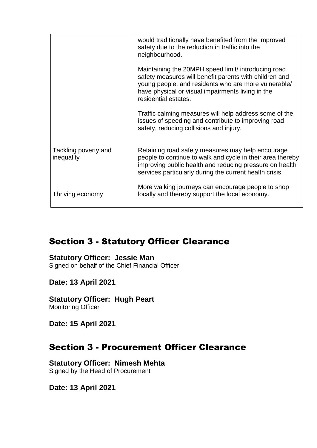|                                    | would traditionally have benefited from the improved<br>safety due to the reduction in traffic into the<br>neighbourhood.                                                                                                                          |
|------------------------------------|----------------------------------------------------------------------------------------------------------------------------------------------------------------------------------------------------------------------------------------------------|
|                                    | Maintaining the 20MPH speed limit/ introducing road<br>safety measures will benefit parents with children and<br>young people, and residents who are more vulnerable/<br>have physical or visual impairments living in the<br>residential estates. |
|                                    | Traffic calming measures will help address some of the<br>issues of speeding and contribute to improving road<br>safety, reducing collisions and injury.                                                                                           |
| Tackling poverty and<br>inequality | Retaining road safety measures may help encourage<br>people to continue to walk and cycle in their area thereby<br>improving public health and reducing pressure on health<br>services particularly during the current health crisis.              |
| Thriving economy                   | More walking journeys can encourage people to shop<br>locally and thereby support the local economy.                                                                                                                                               |

# Section 3 - Statutory Officer Clearance

#### **Statutory Officer: Jessie Man**

Signed on behalf of the Chief Financial Officer

### **Date: 13 April 2021**

**Statutory Officer: Hugh Peart** Monitoring Officer

**Date: 15 April 2021**

## Section 3 - Procurement Officer Clearance

**Statutory Officer: Nimesh Mehta** Signed by the Head of Procurement

**Date: 13 April 2021**